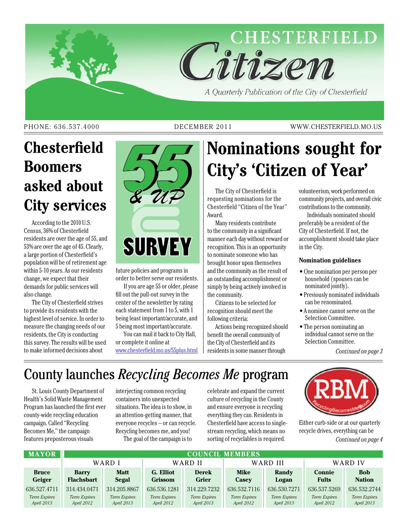

A Quarterly Publication of the City of Chesterfield

#### PHONE: 636.537.4000 DECEMBER 2011 WWW.CHESTERFIELD.MO.US

# **Chesterfield Boomers asked about City services**

According to the 2010 U.S. Census, 36% of Chesterfield residents are over the age of 55, and 53% are over the age of 45. Clearly, a large portion of Chesterfield's population will be of retirement age within 5-10 years. As our residents change, we expect that their demands for public services will also change.

The City of Chesterfield strives to provide its residents with the highest level of service. In order to measure the changing needs of our residents, the City is conducting this survey. The results will be used to make informed decisions about



future policies and programs in order to better serve our residents.

If you are age 55 or older, please fill out the pull-out survey in the center of the newsletter by rating each statement from 1 to 5, with 1 being least important/accurate, and 5 being most important/accurate.

You can mail it back to City Hall, or complete it online at www.chesterfield.mo.us/55plus.html

# **Nominations sought for City's 'Citizen of Year'**

The City of Chesterfield is requesting nominations for the Chesterfield "Citizen of the Year" Award.

Many residents contribute to the community in a significant manner each day without reward or recognition. This is an opportunity to nominate someone who has brought honor upon themselves and the community as the result of an outstanding accomplishment or simply by being actively involved in the community.

Citizens to be selected for recognition should meet the following criteria:

Actions being recognized should benefit the overall community of the City of Chesterfield and its residents in some manner through

volunteerism, work performed on community projects, and overall civic contributions to the community.

Individuals nominated should preferably be a resident of the City of Chesterfield. If not, the accomplishment should take place in the City.

#### **Nomination guidelines**

- One nomination per person per household (spouses can be nominated jointly).
- Previously nominated individuals can be renominated.
- A nominee cannot serve on the Selection Committee.
- The person nominating an individual cannot serve on the Selection Committee.

*Continued on page 3*

# County launches *Recycling Becomes Me* program

St. Louis County Department of Health's Solid Waste Management Program has launched the first ever county-wide recycling education campaign. Called "Recycling Becomes Me," the campaign features preposterous visuals

interjecting common recycling containers into unexpected situations. The idea is to show, in an attention-getting manner, that everyone recycles – or can recycle. Recycling becomes me, and you! The goal of the campaign is to

celebrate and expand the current culture of recycling in the County and ensure everyone is recycling everything they can. Residents in Chesterfield have access to singlestream recycling, which means no sorting of recyclables is required.



Either curb-side or at our quarterly recycle drives, everything can be *Continued on page 4*

| <b>MAYOR</b>                      | <b>COUNCIL MEMBERS</b>            |                            |                             |                                   |                            |                            |                                   |                             |  |
|-----------------------------------|-----------------------------------|----------------------------|-----------------------------|-----------------------------------|----------------------------|----------------------------|-----------------------------------|-----------------------------|--|
|                                   | WARD I                            |                            | WARD II                     |                                   | WARD III                   |                            | WARD IV                           |                             |  |
| <b>Bruce</b><br>Geiger            | <b>Barry</b><br><b>Flachsbart</b> | <b>Matt</b><br>Segal       | G. Elliot<br><b>Grissom</b> | <b>Derek</b><br><b>Grier</b>      | <b>Mike</b><br>Casev       | Randy<br>Logan             | <b>Connie</b><br><b>Fults</b>     | <b>Bob</b><br><b>Nation</b> |  |
| 636.527.4711                      | 314.434.0471                      | 314.205.8867               | 636.536.1281                | 314.229.7232                      | 636.532.7116               | 636, 530, 7271             | 636.537.5269                      | 636.532.2744                |  |
| <b>Term Expires</b><br>April 2013 | <b>Term Expires</b><br>April 2012 | Term Expires<br>April 2013 | Term Expires<br>April 2012  | <b>Term Expires</b><br>April 2013 | Term Expires<br>April 2012 | Term Expires<br>April 2013 | <b>Term Expires</b><br>April 2012 | Term Expires<br>April 2013  |  |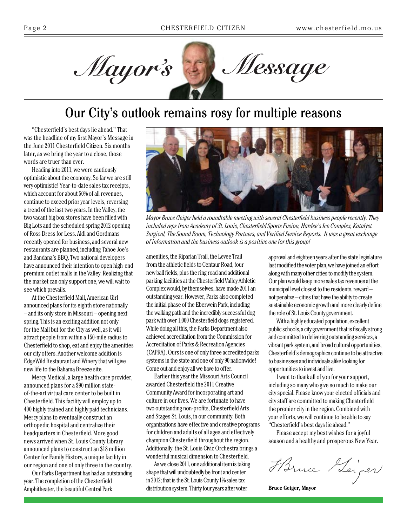

# Our City's outlook remains rosy for multiple reasons

"Chesterfield's best days lie ahead." That was the headline of my first Mayor's Message in the June 2011 Chesterfield Citizen. Six months later, as we bring the year to a close, those words are truer than ever.

Heading into 2011, we were cautiously optimistic about the economy. So far we are still very optimistic! Year-to-date sales tax receipts, which account for about 50% of all revenues, continue to exceed prior year levels, reversing a trend of the last two years. In the Valley, the two vacant big box stores have been filled with Big Lots and the scheduled spring 2012 opening of Ross Dress for Less. Aldi and Gordmans recently opened for business, and several new restaurants are planned, including Tahoe Joe's and Bandana's BBQ. Two national developers have announced their intention to open high-end premium outlet malls in the Valley. Realizing that the market can only support one, we will wait to see which prevails.

At the Chesterfield Mall, American Girl announced plans for its eighth store nationally – and its only store in Missouri – opening next spring. This is an exciting addition not only for the Mall but for the City as well, as it will attract people from within a 150-mile radius to Chesterfield to shop, eat and enjoy the amenities our city offers. Another welcome addition is EdgeWild Restaurant and Winery that will give new life to the Bahama Breeze site.

Mercy Medical, a large health care provider, announced plans for a \$90 million stateof-the-art virtual care center to be built in Chesterfield. This facility will employ up to 400 highly trained and highly paid technicians. Mercy plans to eventually construct an orthopedic hospital and centralize their headquarters in Chesterfield. More good news arrived when St. Louis County Library announced plans to construct an \$18 million Center for Family History, a unique facility in our region and one of only three in the country.

Our Parks Department has had an outstanding year. The completion of the Chesterfield Amphitheater, the beautiful Central Park



*Mayor Bruce Geiger held a roundtable meeting with several Chesterfield business people recently. They included reps from Academy of St. Louis, Chesterfield Sports Fusion, Hardee's Ice Complex, Katalyst Surgical, The Sound Room, Technology Partners, and Verified Service Reports. It was a great exchange of information and the business outlook is a positive one for this group!*

amenities, the Riparian Trail, the Levee Trail from the athletic fields to Centaur Road, four new ball fields, plus the ring road and additional parking facilities at the Chesterfield Valley Athletic Complex would, by themselves, have made 2011 an outstanding year. However, Parks also completed the initial phase of the Eberwein Park, including the walking path and the incredibly successful dog park with over 1,000 Chesterfield dogs registered. While doing all this, the Parks Department also achieved accreditation from the Commission for Accreditation of Parks & Recreation Agencies (CAPRA). Ours is one of only three accredited parks systems in the state and one of only 90 nationwide! Come out and enjoy all we have to offer.

Earlier this year the Missouri Arts Council awarded Chesterfield the 2011 Creative Community Award for incorporating art and culture in our lives. We are fortunate to have two outstanding non-profits, Chesterfield Arts and Stages St. Louis, in our community. Both organizations have effective and creative programs for children and adults of all ages and effectively champion Chesterfield throughout the region. Additionally, the St. Louis Civic Orchestra brings a wonderful musical dimension to Chesterfield.

As we close 2011, one additional item is taking shape that will undoubtedly be front and center in 2012; that is the St. Louis County 1% sales tax distribution system. Thirty four years after voter

approval and eighteen years after the state legislature last modified the voter plan, we have joined an effort along with many other cities to modify the system. Our plan would keep more sales tax revenues at the municipal level closest to the residents, reward – not penalize – cities that have the ability to create sustainable economic growth and more clearly define the role of St. Louis County government.

With a highly educated population, excellent public schools, a city government that is fiscally strong and committed to delivering outstanding services, a vibrant park system, and broad cultural opportunities, Chesterfield's demographics continue to be attractive to businesses and individuals alike looking for opportunities to invest and live.

I want to thank all of you for your support, including so many who give so much to make our city special. Please know your elected officials and city staff are committed to making Chesterfield the premier city in the region. Combined with your efforts, we will continue to be able to say "Chesterfield's best days lie ahead."

Please accept my best wishes for a joyful season and a healthy and prosperous New Year.

Harne Heiger

**Bruce Geiger, Mayor**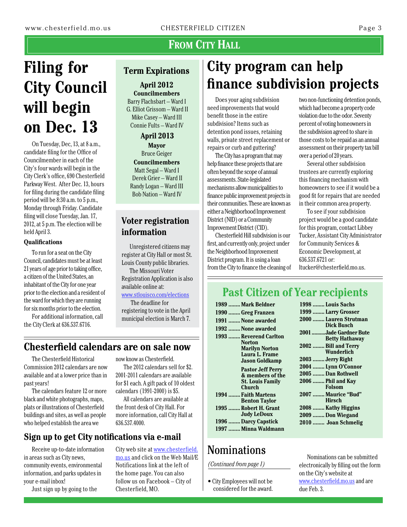### FROM CITY HALL

# **Filing for City Council will begin on Dec. 13**

On Tuesday, Dec, 13, at 8 a.m., candidate filing for the Office of Councilmember in each of the City's four wards will begin in the City Clerk's office, 690 Chesterfield Parkway West. After Dec. 13, hours for filing during the candidate filing period will be 8:30 a.m. to 5 p.m., Monday through Friday. Candidate filing will close Tuesday, Jan. 17, 2012, at 5 p.m. The election will be held April 3.

#### **Qualifications**

To run for a seat on the City Council, candidates must be at least 21 years of age prior to taking office, a citizen of the United States, an inhabitant of the City for one year prior to the election and a resident of the ward for which they are running for six months prior to the election.

For additional information, call the City Clerk at 636.537.6716.

#### **Term Expirations**

**April 2012 Councilmembers** Barry Flachsbart – Ward I G. Elliot Grissom – Ward II Mike Casey – Ward III Connie Fults – Ward IV

#### **April 2013**

**Mayor** Bruce Geiger **Councilmembers** Matt Segal – Ward I Derek Grier – Ward II Randy Logan – Ward III Bob Nation – Ward IV

#### **Voter registration information**

Unregistered citizens may register at City Hall or most St. Louis County public libraries.

The Missouri Voter Registration Application is also available online at: www.stlouisco.com/elections

The deadline for

registering to vote in the April municipal election is March 7.

### **Chesterfield calendars are on sale now**

The Chesterfield Historical Commission 2012 calendars are now available and at a lower price than in past years!

The calendars feature 12 or more black and white photographs, maps, plats or illustrations of Chesterfield buildings and sites, as well as people who helped establish the area we

now know as Chesterfield.

The 2012 calendars sell for \$2. 2001-2011 calendars are available for \$1 each. A gift pack of 10 oldest calendars (1991-2000) is \$5.

All calendars are available at the front desk of City Hall. For more information, call City Hall at 636.537.4000.

#### **Sign up to get City notifications via e-mail**

Receive up-to-date information in areas such as City news, community events, environmental information, and parks updates in your e-mail inbox!

Just sign up by going to the

City web site at [www.chesterfield.](http://www.chesterfield.mo.us) [mo.us](http://www.chesterfield.mo.us) and click on the Web Mail/E Notifications link at the left of the home page. You can also

follow us on Facebook – City of

Chesterfield, MO.

# **City program can help finance subdivision projects**

Does your aging subdivision need improvements that would benefit those in the entire subdivision? Items such as detention pond issues, retaining walls, private street replacement or repairs or curb and guttering?

The City has a program that may help finance these projects that are often beyond the scope of annual assessments. State-legislated mechanisms allow municipalities to finance public improvement projects in their communities. These are known as either a Neighborhood Improvement District (NID) or a Community Improvement District (CID).

Chesterfield Hill subdivision is our first, and currently only, project under the Neighborhood Improvement District program. It is using a loan from the City to finance the cleaning of

two non-functioning detention ponds, which had become a property code violation due to the odor. Seventy percent of voting homeowners in the subdivision agreed to share in those costs to be repaid as an annual assessment on their property tax bill over a period of 20 years.

Several other subdivision trustees are currently exploring this financing mechanism with homeowners to see if it would be a good fit for repairs that are needed in their common area property.

To see if your subdivision project would be a good candidate for this program, contact Libbey Tucker, Assistant City Administrator for Community Services & Economic Development, at 636.537.6721 or: ltucker@chesterfield.mo.us.

### **Past Citizen of Year recipients**

| 1989  Mark Beldner                                                                            |
|-----------------------------------------------------------------------------------------------|
| 1990  Greg Franzen                                                                            |
| 1991  None awarded                                                                            |
| 1992  None awarded                                                                            |
| 1993  Reverend Carlton<br>Norton<br>Marilyn Norton<br>Laura L. Frame<br><b>Jason Goldkamp</b> |
| <b>Pastor Jeff Perry</b><br>& members of the<br><b>St. Louis Family</b><br>Church             |
| 1994  Faith Martens<br><b>Benton Taylor</b>                                                   |
| 1995  Robert H. Grant<br><b>Judy LeDoux</b>                                                   |
| 1996 Darcy Capstick                                                                           |
| 1997  Minna Waldmann                                                                          |

# Nominations

#### *(Continued from page 1)*

• City Employees will not be considered for the award.

| 1998  Louis Sachs                               |
|-------------------------------------------------|
| 1999  Larry Grosser                             |
| 2000  Lauren Strutman<br>Dick Busch             |
| 2001 Jade Gardner Bute<br><b>Betty Hathaway</b> |
| 2002  Bill and Terry<br>Wunderlich              |
| 2003  Jerry Right                               |
| 2004  Lynn O'Connor                             |
| 2005  Dan Rothwell                              |
| 2006  Phil and Kay<br><b>Folsom</b>             |
| 2007  Maurice "Bud"<br><b>Hirsch</b>            |
| 2008  Kathy Higgins                             |
| 2009  Don Wiegand                               |
| 2010  Joan Schmelig                             |
|                                                 |

Nominations can be submitted electronically by filling out the form on the City's website at www.chesterfield.mo.us and are due Feb. 3.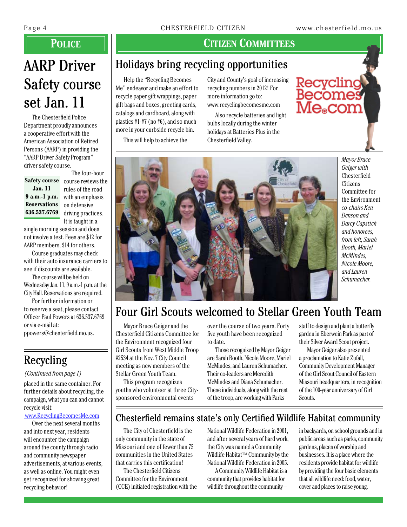Recycling

comes

e<sub>®</sub>com

# AARP Driver Safety course set Jan. 11

The Chesterfield Police Department proudly announces a cooperative effort with the American Association of Retired Persons (AARP) in providing the "AARP Driver Safety Program" driver safety course.

**Jan. 11 9 a.m.-1 p.m. Reservations 636.537.6769**

The four-hour Safety course course reviews the rules of the road with an emphasis on defensive driving practices. It is taught in a

single morning session and does not involve a test. Fees are \$12 for AARP members, \$14 for others.

Course graduates may check with their auto insurance carriers to see if discounts are available.

The course will be held on Wednesday Jan. 11, 9 a.m.-1 p.m. at the City Hall. Reservations are required.

For further information or to reserve a seat, please contact Officer Paul Powers at 636.537.6769 or via e-mail at:

ppowers@chesterfield.mo.us.

# Recycling

#### *(Continued from page 1)*

placed in the same container. For further details about recycling, the campaign, what you can and cannot recycle visit:

#### [www.RecyclingBecomesMe.com](http://www.RecyclingBecomesMe.com)

Over the next several months and into next year, residents will encounter the campaign around the county through radio and community newspaper advertisements, at various events, as well as online. You might even get recognized for showing great recycling behavior!

#### **Police Citizen Committees**

### Holidays bring recycling opportunities

Help the "Recycling Becomes Me" endeavor and make an effort to recycle paper gift wrappings, paper gift bags and boxes, greeting cards, catalogs and cardboard, along with plastics  $#1-#7$  (no  $#6$ ), and so much more in your curbside recycle bin.

This will help to achieve the

City and County's goal of increasing recycling numbers in 2012! For more information go to: [www.recyclingbecomesme.com](http://www.recyclingbecomesme.com)

Also recycle batteries and light bulbs locally during the winter holidays at Batteries Plus in the Chesterfield Valley.



*Mayor Bruce Geiger with*  Chesterfield **Citizens** Committee for the Environment *co-chairs Ken Denson and Darcy Capstick and honorees, from left, Sarah Booth, Mariel McMindes, Nicole Moore, and Lauren Schumacher.*

# Four Girl Scouts welcomed to Stellar Green Youth Team

Mayor Bruce Geiger and the Chesterfield Citizens Committee for the Environment recognized four Girl Scouts from West Middle Troop #2534 at the Nov. 7 City Council meeting as new members of the Stellar Green Youth Team.

This program recognizes youths who volunteer at three Citysponsored environmental events

over the course of two years. Forty five youth have been recognized to date.

Those recognized by Mayor Geiger are Sarah Booth, Nicole Moore, Mariel McMindes, and Lauren Schumacher. Their co-leaders are Meredith McMindes and Diana Schumacher. These individuals, along with the rest of the troop, are working with Parks

staff to design and plant a butterfly garden in Eberwein Park as part of their Silver Award Scout project.

Mayor Geiger also presented a proclamation to Katie Zufall, Community Development Manager of the Girl Scout Council of Eastern Missouri headquarters, in recognition of the 100-year anniversary of Girl Scouts.

#### Chesterfield remains state's only Certified Wildlife Habitat community

The City of Chesterfield is the only community in the state of Missouri and one of fewer than 75 communities in the United States that carries this certification!

The Chesterfield Citizens Committee for the Environment (CCE) initiated registration with the

National Wildlife Federation in 2001, and after several years of hard work, the City was named a Community Wildlife Habitat™ Community by the [National Wildlife Federation](http://www.nwf.org/) in 2005.

A Community Wildlife Habitat is a community that provides habitat for wildlife throughout the community –

in backyards, on school grounds and in public areas such as parks, community gardens, places of worship and businesses. It is a place where the residents provide habitat for wildlife by providing the four basic elements that all wildlife need: food, water, cover and places to raise young.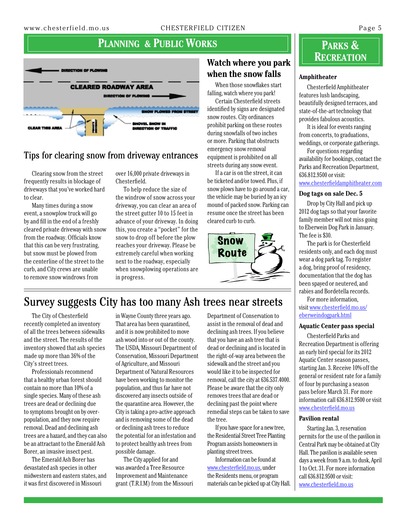#### **PLANNING & PUBLIC WORKS**



#### Tips for clearing snow from driveway entrances

Clearing snow from the street frequently results in blockage of driveways that you've worked hard to clear.

Many times during a snow event, a snowplow truck will go by and fill in the end of a freshly cleared private driveway with snow from the roadway. Officials know that this can be very frustrating, but snow must be plowed from the centerline of the street to the curb, and City crews are unable to remove snow windrows from

over 16,000 private driveways in Chesterfield.

To help reduce the size of the windrow of snow across your driveway, you can clear an area of the street gutter 10 to 15 feet in advance of your driveway. In doing this, you create a "pocket" for the snow to drop off before the plow reaches your driveway. Please be extremely careful when working next to the roadway, especially when snowplowing operations are in progress.

#### **Watch where you park when the snow falls**

When those snowflakes start falling, watch where you park!

Certain Chesterfield streets identified by signs are designated snow routes. City ordinances prohibit parking on these routes during snowfalls of two inches or more. Parking that obstructs emergency snow removal equipment is prohibited on all streets during any snow event.

If a car is on the street, it can be ticketed and/or towed. Plus, if snow plows have to go around a car, the vehicle may be buried by an icy mound of packed snow. Parking can resume once the street has been cleared curb to curb.



### **Parks & Recreation**

#### **Amphitheater**

Chesterfield Amphitheater features lush landscaping, beautifully designed terraces, and state-of-the-art technology that provides fabulous acoustics.

It is ideal for events ranging from concerts, to graduations, weddings, or corporate gatherings.

For questions regarding availability for bookings, contact the Parks and Recreation Department, 636.812.9500 or visit:

#### www.chesterfieldamphitheater.com

#### **Dog tags on sale Dec. 5**

Drop by City Hall and pick up 2012 dog tags so that your favorite family member will not miss going to Eberwein Dog Park in January. The fee is \$30.

The park is for Chesterfield residents only, and each dog must wear a dog park tag. To register a dog, bring proof of residency, documentation that the dog has been spayed or neutered, and rabies and Bordetella records.

For more information, visit www.chesterfield.mo.us/ eberweindogpark.html

#### **Aquatic Center pass special**

Chesterfield Parks and Recreation Department is offering an early bird special for its 2012 Aquatic Center season passes, starting Jan. 3. Receive 10% off the general or resident rate for a family of four by purchasing a season pass before March 31. For more information call 636.812.9500 or visit www.chesterfield.mo.us

#### **Pavilion rental**

Starting Jan. 3, reservation permits for the use of the pavilion in Central Park may be obtained at City Hall. The pavilion is available seven days a week from 9 a.m. to dusk, April 1 to Oct. 31. For more information call 636.812.9500 or visit: www.chesterfield.mo.us

### Survey suggests City has too many Ash trees near streets

The City of Chesterfield recently completed an inventory of all the trees between sidewalks and the street. The results of the inventory showed that ash species made up more than 36% of the City's street trees.

Professionals recommend that a healthy urban forest should contain no more than 10% of a single species. Many of these ash trees are dead or declining due to symptoms brought on by overpopulation, and they now require removal. Dead and declining ash trees are a hazard, and they can also be an attractant to the Emerald Ash Borer, an invasive insect pest.

The Emerald Ash Borer has devastated ash species in other midwestern and eastern states, and it was first discovered in Missouri

in Wayne County three years ago. That area has been quarantined, and it is now prohibited to move ash wood into or out of the county. The USDA, Missouri Department of Conservation, Missouri Department of Agriculture, and Missouri Department of Natural Resources have been working to monitor the population, and thus far have not discovered any insects outside of the quarantine area. However, the City is taking a pro-active approach and is removing some of the dead or declining ash trees to reduce the potential for an infestation and to protect healthy ash trees from possible damage.

The City applied for and was awarded a Tree Resource Improvement and Maintenance grant (T.R.I.M) from the Missouri

Department of Conservation to assist in the removal of dead and declining ash trees. If you believe that you have an ash tree that is dead or declining and is located in the right-of-way area between the sidewalk and the street and you would like it to be inspected for removal, call the city at 636.537.4000. Please be aware that the city only removes trees that are dead or declining past the point where remedial steps can be taken to save the tree.

If you have space for a new tree, the Residential Street Tree Planting Program assists homeowners in planting street trees.

Information can be found at [www.chesterfield.](http://www.chesterfield.mo.us/residential-street-tree.html)mo.us, under the Residents menu, or program materials can be picked up at City Hall.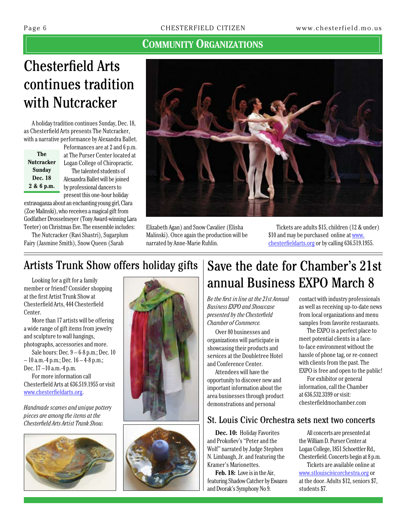#### **Community Organizations**

# Chesterfield Arts continues tradition with Nutcracker

A holiday tradition continues Sunday, Dec. 18, as Chesterfield Arts presents The Nutcracker, with a narrative performance by Alexandra Ballet.

| The               |  |  |  |  |  |
|-------------------|--|--|--|--|--|
| <b>Nutcracker</b> |  |  |  |  |  |
| Sundav            |  |  |  |  |  |
| Dec. 18           |  |  |  |  |  |
| 2 & 6 p.m.        |  |  |  |  |  |

Peformances are at 2 and 6 p.m. at The Purser Center located at Logan College of Chiropractic. The talented students of Alexandra Ballet will be joined by professional dancers to present this one-hour holiday

extravaganza about an enchanting young girl, Clara (Zoe Malinski), who receives a magical gift from Godfather Drosselmeyer (Tony Award-winning Lara Teeter) on Christmas Eve. The ensemble includes:

The Nutcracker (Ravi Shastri), Sugarplum Fairy (Jasmine Smith), Snow Queen (Sarah



Elizabeth Agan) and Snow Cavalier (Elisha Malinski). Once again the production will be narrated by Anne-Marie Ruhlin.

Tickets are adults \$15, children (12 & under) \$10 and may be purchased online at [www.](http://www.chesterfieldarts.org) [chesterfieldarts.org](http://www.chesterfieldarts.org) or by calling 636.519.1955.

### Artists Trunk Show offers holiday gifts

Looking for a gift for a family member or friend? Consider shopping at the first Artist Trunk Show at Chesterfield Arts, 444 Chesterfield Center.

More than 17 artists will be offering a wide range of gift items from jewelry and sculpture to wall hangings, photographs, accessories and more.

Sale hours: Dec. 9 – 6-8 p.m.; Dec. 10  $-10$  a.m.-4 p.m.; Dec.  $16 - 4 - 8$  p.m.; Dec. 17 –10 a.m.-4 p.m.

For more information call Chesterfield Arts at 636.519.1955 or visit [www.chesterfieldarts.org.](http://www.chesterfieldarts.org)

*Handmade scarves and unique pottery pieces are among the items at the Chesterfield Arts Artist Trunk Show.*







# Save the date for Chamber's 21st annual Business EXPO March 8

*Be the first in line at the 21st Annual Business EXPO and Showcase presented by the Chesterfield Chamber of Commerce.*

Over 80 businesses and organizations will participate in showcasing their products and services at the Doubletree Hotel and Conference Center.

Attendees will have the opportunity to discover new and important information about the area businesses through product demonstrations and personal

#### St. Louis Civic Orchestra sets next two concerts

**Dec. 10:** Holiday Favorites and Prokofiev's "Peter and the Wolf" narrated by Judge Stephen N. Limbaugh, Jr. and featuring the Kramer's Marionettes.

**Feb. 18:** Love is in the Air, featuring Shadow Catcher by Ewazen and Dvorak's Symphony No 9.

contact with industry professionals as well as receiving up-to-date news from local organizations and menu samples from favorite restaurants.

The EXPO is a perfect place to meet potential clients in a faceto-face environment without the hassle of phone tag, or re-connect with clients from the past. The EXPO is free and open to the public!

For exhibitor or general information, call the Chamber at 636.532.3399 or visit: chesterfieldmochamber.com

All concerts are presented at the William D. Purser Center at Logan College, 1851 Schoettler Rd., Chesterfield. Concerts begin at 8 p.m. Tickets are available online at

[www.stlouiscivicorchestra.org](http://www.stlouiscivicorchestra.org) or at the door. Adults \$12, seniors \$7, students \$7.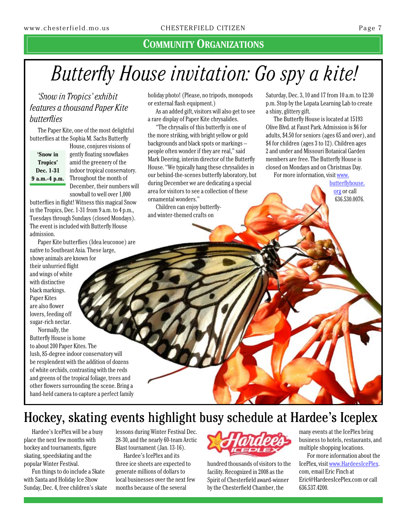#### **Community Organizations**

# *Butterfly House invitation: Go spy a kite!*

*'Snow in Tropics' exhibit features a thousand Paper Kite butterflies* 

The Paper Kite, one of the most delightful butterflies at the Sophia M. Sachs Butterfly

**'Snow in Tropics' Dec. 1-31 9 a.m.-4 p.m.**

House, conjures visions of gently floating snowflakes amid the greenery of the indoor tropical conservatory. Throughout the month of December, their numbers will snowball to well over 1,000

butterflies in flight! Witness this magical Snow in the Tropics, Dec. 1-31 from 9 a.m. to 4 p.m., Tuesdays through Sundays (closed Mondays). The event is included with Butterfly House admission.

Paper Kite butterflies (Idea leuconoe) are native to Southeast Asia. These large, showy animals are known for their unhurried flight and wings of white with distinctive black markings. Paper Kites are also flower lovers, feeding off sugar-rich nectar.

Normally, the Butterfly House is home to about 200 Paper Kites. The lush, 85-degree indoor conservatory will be resplendent with the addition of dozens of white orchids, contrasting with the reds and greens of the tropical foliage, trees and other flowers surrounding the scene. Bring a hand-held camera to capture a perfect family holiday photo! (Please, no tripods, monopods or external flash equipment.)

As an added gift, visitors will also get to see a rare display of Paper Kite chrysalides.

"The chrysalis of this butterfly is one of the more striking, with bright yellow or gold backgrounds and black spots or markings – people often wonder if they are real," said Mark Deering, interim director of the Butterfly House. "We typically hang these chrysalides in our behind-the-scenes butterfly laboratory, but during December we are dedicating a special area for visitors to see a collection of these ornamental wonders."

Children can enjoy butterflyand winter-themed crafts on

Saturday, Dec. 3, 10 and 17 from 10 a.m. to 12:30 p.m. Stop by the Lopata Learning Lab to create a shiny, glittery gift.

The Butterfly House is located at 15193 Olive Blvd. at Faust Park. Admission is \$6 for adults, \$4.50 for seniors (ages 65 and over), and \$4 for children (ages 3 to 12). Children ages 2 and under and Missouri Botanical Garden members are free. The Butterfly House is closed on Mondays and on Christmas Day.

For more information, visit www.

butterflyhouse. org or call 636.530.0076.

Hockey, skating events highlight busy schedule at Hardee's Iceplex

Hardee's IcePlex will be a busy place the next few months with hockey and tournaments, figure skating, speedskating and the popular Winter Festival.

Fun things to do include a Skate with Santa and Holiday Ice Show Sunday, Dec. 4, free children's skate lessons during Winter Festival Dec. 28-30, and the nearly 60-team Arctic Blast tournament (Jan. 13-16).

Hardee's IcePlex and its three ice sheets are expected to generate millions of dollars to local businesses over the next few months because of the several



hundred thousands of visitors to the facility. Recognized in 2008 as the Spirit of Chesterfield award-winner by the Chesterfield Chamber, the

many events at the IcePlex bring business to hotels, restaurants, and multiple shopping locations.

For more information about the IcePlex, visit www.HardeesIcePlex. com, email Eric Finch at Eric@HardeesIcePlex.com or call 636.537.4200.